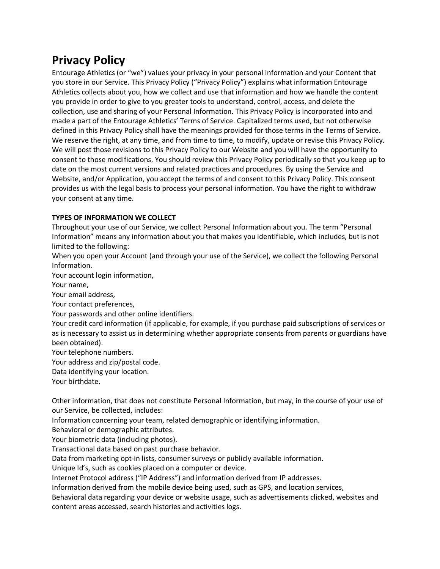# **Privacy Policy**

Entourage Athletics (or "we") values your privacy in your personal information and your Content that you store in our Service. This Privacy Policy ("Privacy Policy") explains what information Entourage Athletics collects about you, how we collect and use that information and how we handle the content you provide in order to give to you greater tools to understand, control, access, and delete the collection, use and sharing of your Personal Information. This Privacy Policy is incorporated into and made a part of the Entourage Athletics' Terms of Service. Capitalized terms used, but not otherwise defined in this Privacy Policy shall have the meanings provided for those terms in the Terms of Service. We reserve the right, at any time, and from time to time, to modify, update or revise this Privacy Policy. We will post those revisions to this Privacy Policy to our Website and you will have the opportunity to consent to those modifications. You should review this Privacy Policy periodically so that you keep up to date on the most current versions and related practices and procedures. By using the Service and Website, and/or Application, you accept the terms of and consent to this Privacy Policy. This consent provides us with the legal basis to process your personal information. You have the right to withdraw your consent at any time.

# **TYPES OF INFORMATION WE COLLECT**

Throughout your use of our Service, we collect Personal Information about you. The term "Personal Information" means any information about you that makes you identifiable, which includes, but is not limited to the following:

When you open your Account (and through your use of the Service), we collect the following Personal Information.

Your account login information,

Your name,

Your email address,

Your contact preferences,

Your passwords and other online identifiers.

Your credit card information (if applicable, for example, if you purchase paid subscriptions of services or as is necessary to assist us in determining whether appropriate consents from parents or guardians have been obtained).

Your telephone numbers.

Your address and zip/postal code.

Data identifying your location.

Your birthdate.

Other information, that does not constitute Personal Information, but may, in the course of your use of our Service, be collected, includes:

Information concerning your team, related demographic or identifying information.

Behavioral or demographic attributes.

Your biometric data (including photos).

Transactional data based on past purchase behavior.

Data from marketing opt-in lists, consumer surveys or publicly available information.

Unique Id's, such as cookies placed on a computer or device.

Internet Protocol address ("IP Address") and information derived from IP addresses.

Information derived from the mobile device being used, such as GPS, and location services,

Behavioral data regarding your device or website usage, such as advertisements clicked, websites and content areas accessed, search histories and activities logs.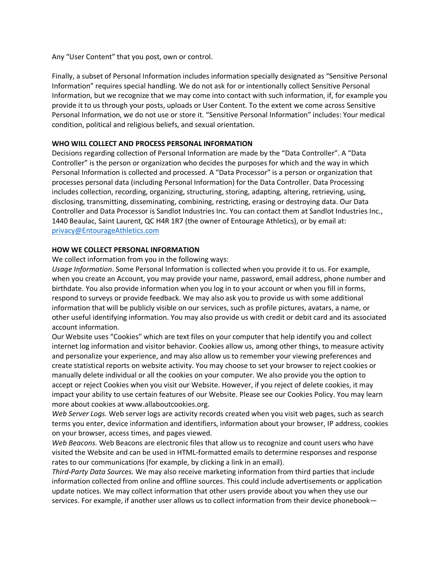Any "User Content" that you post, own or control.

Finally, a subset of Personal Information includes information specially designated as "Sensitive Personal Information" requires special handling. We do not ask for or intentionally collect Sensitive Personal Information, but we recognize that we may come into contact with such information, if, for example you provide it to us through your posts, uploads or User Content. To the extent we come across Sensitive Personal Information, we do not use or store it. "Sensitive Personal Information" includes: Your medical condition, political and religious beliefs, and sexual orientation.

## **WHO WILL COLLECT AND PROCESS PERSONAL INFORMATION**

Decisions regarding collection of Personal Information are made by the "Data Controller". A "Data Controller" is the person or organization who decides the purposes for which and the way in which Personal Information is collected and processed. A "Data Processor" is a person or organization that processes personal data (including Personal Information) for the Data Controller. Data Processing includes collection, recording, organizing, structuring, storing, adapting, altering, retrieving, using, disclosing, transmitting, disseminating, combining, restricting, erasing or destroying data. Our Data Controller and Data Processor is Sandlot Industries Inc. You can contact them at Sandlot Industries Inc., 1440 Beaulac, Saint Laurent, QC H4R 1R7 (the owner of Entourage Athletics), or by email at: privacy@EntourageAthletics.com

#### **HOW WE COLLECT PERSONAL INFORMATION**

We collect information from you in the following ways:

*Usage Information*. Some Personal Information is collected when you provide it to us. For example, when you create an Account, you may provide your name, password, email address, phone number and birthdate. You also provide information when you log in to your account or when you fill in forms, respond to surveys or provide feedback. We may also ask you to provide us with some additional information that will be publicly visible on our services, such as profile pictures, avatars, a name, or other useful identifying information. You may also provide us with credit or debit card and its associated account information.

Our Website uses "Cookies" which are text files on your computer that help identify you and collect internet log information and visitor behavior. Cookies allow us, among other things, to measure activity and personalize your experience, and may also allow us to remember your viewing preferences and create statistical reports on website activity. You may choose to set your browser to reject cookies or manually delete individual or all the cookies on your computer. We also provide you the option to accept or reject Cookies when you visit our Website. However, if you reject of delete cookies, it may impact your ability to use certain features of our Website. Please see our Cookies Policy. You may learn more about cookies at www.allaboutcookies.org.

*Web Server Logs.* Web server logs are activity records created when you visit web pages, such as search terms you enter, device information and identifiers, information about your browser, IP address, cookies on your browser, access times, and pages viewed.

*Web Beacons.* Web Beacons are electronic files that allow us to recognize and count users who have visited the Website and can be used in HTML-formatted emails to determine responses and response rates to our communications (for example, by clicking a link in an email).

*Third-Party Data Sources.* We may also receive marketing information from third parties that include information collected from online and offline sources. This could include advertisements or application update notices. We may collect information that other users provide about you when they use our services. For example, if another user allows us to collect information from their device phonebook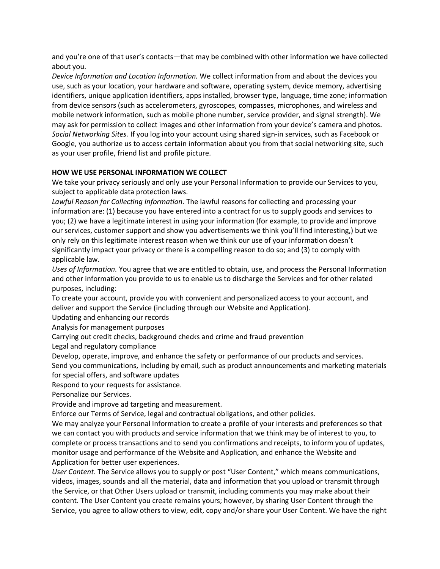and you're one of that user's contacts—that may be combined with other information we have collected about you.

*Device Information and Location Information.* We collect information from and about the devices you use, such as your location, your hardware and software, operating system, device memory, advertising identifiers, unique application identifiers, apps installed, browser type, language, time zone; information from device sensors (such as accelerometers, gyroscopes, compasses, microphones, and wireless and mobile network information, such as mobile phone number, service provider, and signal strength). We may ask for permission to collect images and other information from your device's camera and photos. *Social Networking Sites.* If you log into your account using shared sign-in services, such as Facebook or Google, you authorize us to access certain information about you from that social networking site, such as your user profile, friend list and profile picture.

## **HOW WE USE PERSONAL INFORMATION WE COLLECT**

We take your privacy seriously and only use your Personal Information to provide our Services to you, subject to applicable data protection laws.

*Lawful Reason for Collecting Information.* The lawful reasons for collecting and processing your information are: (1) because you have entered into a contract for us to supply goods and services to you; (2) we have a legitimate interest in using your information (for example, to provide and improve our services, customer support and show you advertisements we think you'll find interesting,) but we only rely on this legitimate interest reason when we think our use of your information doesn't significantly impact your privacy or there is a compelling reason to do so; and (3) to comply with applicable law.

*Uses of Information.* You agree that we are entitled to obtain, use, and process the Personal Information and other information you provide to us to enable us to discharge the Services and for other related purposes, including:

To create your account, provide you with convenient and personalized access to your account, and deliver and support the Service (including through our Website and Application).

Updating and enhancing our records

Analysis for management purposes

Carrying out credit checks, background checks and crime and fraud prevention

Legal and regulatory compliance

Develop, operate, improve, and enhance the safety or performance of our products and services.

Send you communications, including by email, such as product announcements and marketing materials for special offers, and software updates

Respond to your requests for assistance.

Personalize our Services.

Provide and improve ad targeting and measurement.

Enforce our Terms of Service, legal and contractual obligations, and other policies.

We may analyze your Personal Information to create a profile of your interests and preferences so that we can contact you with products and service information that we think may be of interest to you, to complete or process transactions and to send you confirmations and receipts, to inform you of updates, monitor usage and performance of the Website and Application, and enhance the Website and Application for better user experiences.

*User Content*. The Service allows you to supply or post "User Content," which means communications, videos, images, sounds and all the material, data and information that you upload or transmit through the Service, or that Other Users upload or transmit, including comments you may make about their content. The User Content you create remains yours; however, by sharing User Content through the Service, you agree to allow others to view, edit, copy and/or share your User Content. We have the right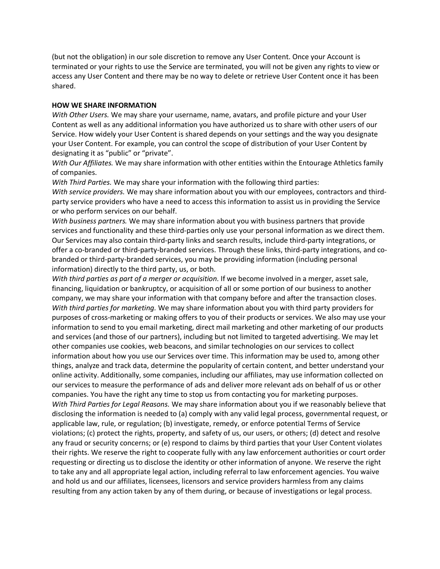(but not the obligation) in our sole discretion to remove any User Content. Once your Account is terminated or your rights to use the Service are terminated, you will not be given any rights to view or access any User Content and there may be no way to delete or retrieve User Content once it has been shared.

#### **HOW WE SHARE INFORMATION**

*With Other Users.* We may share your username, name, avatars, and profile picture and your User Content as well as any additional information you have authorized us to share with other users of our Service. How widely your User Content is shared depends on your settings and the way you designate your User Content. For example, you can control the scope of distribution of your User Content by designating it as "public" or "private".

*With Our Affiliates.* We may share information with other entities within the Entourage Athletics family of companies.

*With Third Parties.* We may share your information with the following third parties:

*With service providers.* We may share information about you with our employees, contractors and thirdparty service providers who have a need to access this information to assist us in providing the Service or who perform services on our behalf.

*With business partners.* We may share information about you with business partners that provide services and functionality and these third-parties only use your personal information as we direct them. Our Services may also contain third-party links and search results, include third-party integrations, or offer a co-branded or third-party-branded services. Through these links, third-party integrations, and cobranded or third-party-branded services, you may be providing information (including personal information) directly to the third party, us, or both.

*With third parties as part of a merger or acquisition.* If we become involved in a merger, asset sale, financing, liquidation or bankruptcy, or acquisition of all or some portion of our business to another company, we may share your information with that company before and after the transaction closes. *With third parties for marketing.* We may share information about you with third party providers for purposes of cross-marketing or making offers to you of their products or services. We also may use your information to send to you email marketing, direct mail marketing and other marketing of our products and services (and those of our partners), including but not limited to targeted advertising. We may let other companies use cookies, web beacons, and similar technologies on our services to collect information about how you use our Services over time. This information may be used to, among other things, analyze and track data, determine the popularity of certain content, and better understand your online activity. Additionally, some companies, including our affiliates, may use information collected on our services to measure the performance of ads and deliver more relevant ads on behalf of us or other companies. You have the right any time to stop us from contacting you for marketing purposes. *With Third Parties for Legal Reasons.* We may share information about you if we reasonably believe that disclosing the information is needed to (a) comply with any valid legal process, governmental request, or applicable law, rule, or regulation; (b) investigate, remedy, or enforce potential Terms of Service violations; (c) protect the rights, property, and safety of us, our users, or others; (d) detect and resolve any fraud or security concerns; or (e) respond to claims by third parties that your User Content violates their rights. We reserve the right to cooperate fully with any law enforcement authorities or court order requesting or directing us to disclose the identity or other information of anyone. We reserve the right to take any and all appropriate legal action, including referral to law enforcement agencies. You waive and hold us and our affiliates, licensees, licensors and service providers harmless from any claims resulting from any action taken by any of them during, or because of investigations or legal process.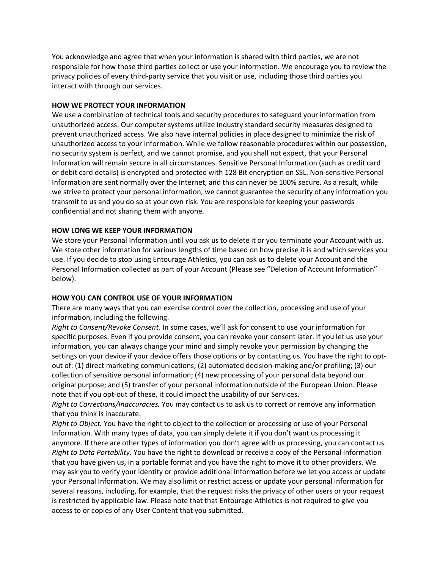You acknowledge and agree that when your information is shared with third parties, we are not responsible for how those third parties collect or use your information. We encourage you to review the privacy policies of every third-party service that you visit or use, including those third parties you interact with through our services.

#### **HOW WE PROTECT YOUR INFORMATION**

We use a combination of technical tools and security procedures to safeguard your information from unauthorized access. Our computer systems utilize industry standard security measures designed to prevent unauthorized access. We also have internal policies in place designed to minimize the risk of unauthorized access to your information. While we follow reasonable procedures within our possession, no security system is perfect, and we cannot promise, and you shall not expect, that your Personal Information will remain secure in all circumstances. Sensitive Personal Information (such as credit card or debit card details) is encrypted and protected with 128 Bit encryption on SSL. Non-sensitive Personal Information are sent normally over the Internet, and this can never be 100% secure. As a result, while we strive to protect your personal information, we cannot guarantee the security of any information you transmit to us and you do so at your own risk. You are responsible for keeping your passwords confidential and not sharing them with anyone.

#### **HOW LONG WE KEEP YOUR INFORMATION**

We store your Personal Information until you ask us to delete it or you terminate your Account with us. We store other information for various lengths of time based on how precise it is and which services you use. If you decide to stop using Entourage Athletics, you can ask us to delete your Account and the Personal Information collected as part of your Account (Please see "Deletion of Account Information" below).

#### **HOW YOU CAN CONTROL USE OF YOUR INFORMATION**

There are many ways that you can exercise control over the collection, processing and use of your information, including the following.

*Right to Consent/Revoke Consent.* In some cases, we'll ask for consent to use your information for specific purposes. Even if you provide consent, you can revoke your consent later. If you let us use your information, you can always change your mind and simply revoke your permission by changing the settings on your device if your device offers those options or by contacting us. You have the right to optout of: (1) direct marketing communications; (2) automated decision-making and/or profiling; (3) our collection of sensitive personal information; (4) new processing of your personal data beyond our original purpose; and (5) transfer of your personal information outside of the European Union. Please note that if you opt-out of these, it could impact the usability of our Services.

*Right to Corrections/Inaccuracies.* You may contact us to ask us to correct or remove any information that you think is inaccurate.

*Right to Object.* You have the right to object to the collection or processing or use of your Personal Information. With many types of data, you can simply delete it if you don't want us processing it anymore. If there are other types of information you don't agree with us processing, you can contact us. *Right to Data Portability.* You have the right to download or receive a copy of the Personal Information that you have given us, in a portable format and you have the right to move it to other providers. We may ask you to verify your identity or provide additional information before we let you access or update your Personal Information. We may also limit or restrict access or update your personal information for several reasons, including, for example, that the request risks the privacy of other users or your request is restricted by applicable law. Please note that that Entourage Athletics is not required to give you access to or copies of any User Content that you submitted.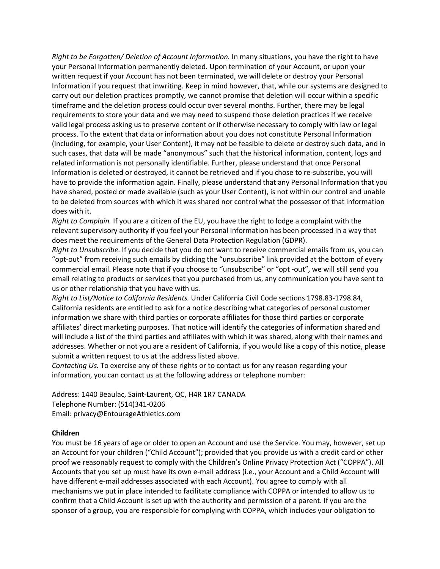*Right to be Forgotten/ Deletion of Account Information.* In many situations, you have the right to have your Personal Information permanently deleted. Upon termination of your Account, or upon your written request if your Account has not been terminated, we will delete or destroy your Personal Information if you request that inwriting. Keep in mind however, that, while our systems are designed to carry out our deletion practices promptly, we cannot promise that deletion will occur within a specific timeframe and the deletion process could occur over several months. Further, there may be legal requirements to store your data and we may need to suspend those deletion practices if we receive valid legal process asking us to preserve content or if otherwise necessary to comply with law or legal process. To the extent that data or information about you does not constitute Personal Information (including, for example, your User Content), it may not be feasible to delete or destroy such data, and in such cases, that data will be made "anonymous" such that the historical information, content, logs and related information is not personally identifiable. Further, please understand that once Personal Information is deleted or destroyed, it cannot be retrieved and if you chose to re-subscribe, you will have to provide the information again. Finally, please understand that any Personal Information that you have shared, posted or made available (such as your User Content), is not within our control and unable to be deleted from sources with which it was shared nor control what the possessor of that information does with it.

*Right to Complain.* If you are a citizen of the EU, you have the right to lodge a complaint with the relevant supervisory authority if you feel your Personal Information has been processed in a way that does meet the requirements of the General Data Protection Regulation (GDPR).

*Right to Unsubscribe.* If you decide that you do not want to receive commercial emails from us, you can "opt-out" from receiving such emails by clicking the "unsubscribe" link provided at the bottom of every commercial email. Please note that if you choose to "unsubscribe" or "opt -out", we will still send you email relating to products or services that you purchased from us, any communication you have sent to us or other relationship that you have with us.

*Right to List/Notice to California Residents.* Under California Civil Code sections 1798.83-1798.84, California residents are entitled to ask for a notice describing what categories of personal customer information we share with third parties or corporate affiliates for those third parties or corporate affiliates' direct marketing purposes. That notice will identify the categories of information shared and will include a list of the third parties and affiliates with which it was shared, along with their names and addresses. Whether or not you are a resident of California, if you would like a copy of this notice, please submit a written request to us at the address listed above.

*Contacting Us.* To exercise any of these rights or to contact us for any reason regarding your information, you can contact us at the following address or telephone number:

Address: 1440 Beaulac, Saint-Laurent, QC, H4R 1R7 CANADA Telephone Number: (514)341-0206 Email: privacy@EntourageAthletics.com

#### **Children**

You must be 16 years of age or older to open an Account and use the Service. You may, however, set up an Account for your children ("Child Account"); provided that you provide us with a credit card or other proof we reasonably request to comply with the Children's Online Privacy Protection Act ("COPPA"). All Accounts that you set up must have its own e-mail address (i.e., your Account and a Child Account will have different e-mail addresses associated with each Account). You agree to comply with all mechanisms we put in place intended to facilitate compliance with COPPA or intended to allow us to confirm that a Child Account is set up with the authority and permission of a parent. If you are the sponsor of a group, you are responsible for complying with COPPA, which includes your obligation to